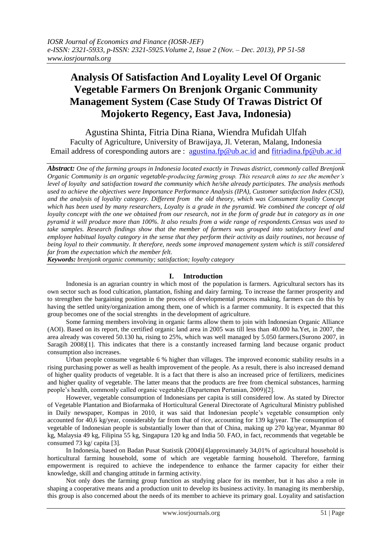# **Analysis Of Satisfaction And Loyality Level Of Organic Vegetable Farmers On Brenjonk Organic Community Management System (Case Study Of Trawas District Of Mojokerto Regency, East Java, Indonesia)**

Agustina Shinta, Fitria Dina Riana, Wiendra Mufidah Ulfah Faculty of Agriculture, University of Brawijaya, Jl. Veteran, Malang, Indonesia Email address of coresponding autors are : [agustina.fp@ub.ac.id](mailto:agustina.fp@ub.ac.id) and [fitriadina.fp@ub.ac.id](mailto:fitriadina.fp@ub.ac.id)

*Abstract: One of the farming groups in Indonesia located exactly in Trawas district, commonly called Brenjonk Organic Community is an organic vegetable-producing farming group. This research aims to see the member's level of loyalty and satisfaction toward the community which he/she already participates. The analysis methods used to achieve the objectives were Importance Performance Analysis (IPA), Customer satisfaction Index (CSI), and the analysis of loyality category. Different from the old theory, which was Consument loyality Concept which has been used by many researchers, Loyalty is a grade in the pyramid. We combined the concept of old loyalty concept with the one we obtained from our research, not in the form of grade but in category as in one pyramid it will produce more than 100%. It also results from a wide range of respondents.Census was used to take samples. Research findings show that the member of farmers was grouped into satisfactory level and employee habitual loyalty category in the sense that they perform their activity as daily routines, not because of being loyal to their community. It therefore, needs some improved management system which is still considered far from the expectation which the member felt.*

*Keywords: brenjonk organic community; satisfaction; loyalty category*

## **I. Introduction**

Indonesia is an agrarian country in which most of the population is farmers. Agricultural sectors has its own sector such as food cultication, plantation, fishing and dairy farming. To increase the farmer prosperity and to strengthen the bargaining position in the process of developmental process making, farmers can do this by having the settled unity/organization among them, one of which is a farmer community. It is expected that this group becomes one of the social strenghts in the development of agriculture.

Some farming members involving in organic farms allow them to join with Indonesian Organic Alliance (AOI). Based on its report, the certified organic land area in 2005 was till less than 40.000 ha.Yet, in 2007, the area already was covered 50.130 ha, rising to 25%, which was well managed by 5.050 farmers.(Surono 2007, in Saragih 2008)[1]. This indicates that there is a constantly increased farming land because organic product consumption also increases.

Urban people consume vegetable 6 % higher than villages. The improved economic stability results in a rising purchasing power as well as health improvement of the people. As a result, there is also increased demand of higher quality products of vegetable. It is a fact that there is also an increased price of fertilizers, medicines and higher quality of vegetable. The latter means that the products are free from chemical substances, harming people's health, commonly called organic vegetable.(Departemen Pertanian, 2009)[2].

However, vegetable consumption of Indonesians per capita is still considered low. As stated by Director of Vegetable Plantation and Biofarmaka of Horticultural General Directorate of Agricultural Ministry published in Daily newspaper, Kompas in 2010, it was said that Indonesian people's vegetable consumption only accounted for 40,6 kg/year, considerably far from that of rice, accounting for 139 kg/year. The consumption of vegetable of Indonesian people is substantially lower than that of China, making up 270 kg/year, Myanmar 80 kg, Malaysia 49 kg, Filipina 55 kg, Singapura 120 kg and India 50. FAO, in fact, recommends that vegetable be consumed 73 kg/ capita [3].

In Indonesia, based on Badan Pusat Statistik (2004)[4]approximately 34,01% of agricultural household is horticultural farming household, some of which are vegetable farming household. Therefore, farming empowerment is required to achieve the independence to enhance the farmer capacity for either their knowledge, skill and changing attitude in farming activity.

Not only does the farming group function as studying place for its member, but it has also a role in shaping a cooperative means and a production unit to develop its business activity. In managing its membership, this group is also concerned about the needs of its member to achieve its primary goal. Loyality and satisfaction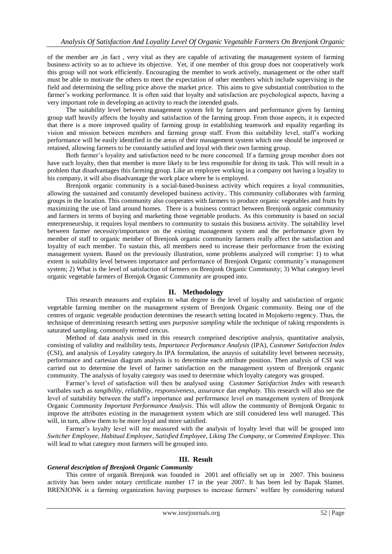of the member are ,in fact , very vital as they are capable of activating the management system of farming business activity so as to achieve its objective. Yet, if one member of this group does not cooperatively work this group will not work efficiently. Encouraging the member to work actively, management or the other staff must be able to motivate the others to meet the expectation of other members which include supervising in the field and determining the selling price above the market price. This aims to give substantial contribution to the farmer's working performance. It is often said that loyalty and satisfaction are psychological aspects, having a very important role in developing an activity to reach the intended goals.

The suitability level between management system felt by farmers and performance given by farming group staff heavily affects the loyalty and satisfaction of the farming group. From those aspects, it is expected that there is a more improved quality of farming group in establishing teamwork and equality regarding its vision and mission between members and farming group staff. From this suitability level, staff's working performance will be easily identified in the areas of their management system which one should be improved or retained, allowing farmers to be constantly satisfied and loyal with their own farming group.

Both farmer's loyality and satisfaction need to be more concerned. If a farming group member does not have such loyalty, then that member is more likely to be less responsible for doing its task. This will result in a problem that disadvantages this farming group. Like an employee working in a company not having a loyality to his company, it will also disadvantage the work place where he is employed.

Brenjonk organic community is a social-based-business activity which requires a loyal communities, allowing the sustained and constantly developed business activity.. This community collaborates with farming groups in the location. This community also cooperates with farmers to produce organic vegetables and fruits by maximizing the use of land around homes. There is a business contract between Brenjonk organic community and farmers in terms of buying and marketing those vegetable products. As this community is based on social enterpreneurship, it requires loyal members to community to sustain this business activity. The suitability level between farmer necessity/importance on the existing management system and the performance given by member of staff to organic member of Brenjonk organic community farmers really affect the satisfaction and loyality of each member. To sustain this, all members need to increase their performance from the existing management system. Based on the previously illustration, some problems analyzed will comprise: 1) to what extent is suitability level between importance and performance of Brenjonk Organic community's management system; 2) What is the level of satisfaction of farmers on Brenjonk Organic Community; 3) What category level organic vegetable farmers of Brenjok Organic Community are grouped into.

## **II. Methodology**

This research measures and explains to what degree is the level of loyalty and satisfaction of organic vegetable farming member on the management system of Brenjonk Organic community. Being one of the centres of organic vegetable production determines the research setting located in Mojokerto regency. Thus, the technique of determining research setting uses *purposive sampling* while the technique of taking respondents is saturated sampling, commonly termed cencus.

Method of data analysis used in this research comprised descriptive analysis, quantitative analysis, consisting of validity and realibility tests, *Importance Performance Analysis* (IPA), *Customer Satisfaction Index* (CSI), and analysis of Loyality category.In IPA formulation, the anaysis of suitability level between necessity, performance and cartesian diagram analysis is to determine each attribute position. Then analysis of CSI was carried out to determine the level of farmer satisfaction on the management system of Brenjonk organic community. The analysis of loyalty category was used to determine which loyalty category was grouped.

Farmer's level of satisfaction will then be analysed using *Customer Satisfaction Index* with research varibales such as *tangibility*, *reliability*, *responsiveness*, *assurance* dan *emphaty*. This research will also see the level of suitability between the staff's importance and performance level on management system of Brenjonk Organic Community *Important Performance Analysis*. This will allow the community of Brenjonk Organic to improve the attributes existing in the management system which are still considered less well managed. This will, in turn, allow them to be more loyal and more satisfied.

Farmer's loyalty level will me measured with the analysis of loyalty level that will be grouped into *Switcher Employee*, *Habitual Employee*, *Satisfied Employee*, *Liking The Company*, or C*ommited Employee*. This will lead to what category most farmers will be grouped into.

## **III. Result**

#### *General description of Brenjonk Organic Community*

This centre of organik Brenjonk was founded in 2001 and officially set up in 2007. This business activity has been under notary certificate number 17 in the year 2007. It has been led by Bapak Slamet. BRENJONK is a farming organization having purposes to increase farmers' welfare by considering natural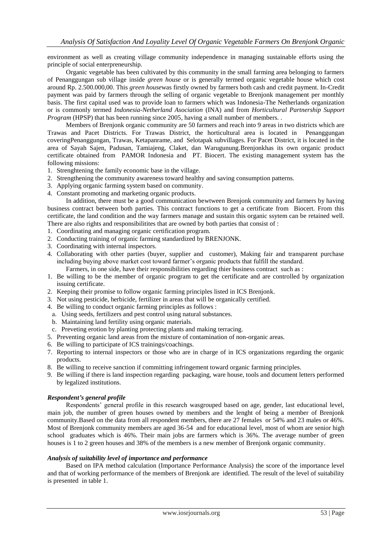environment as well as creating village community independence in managing sustainable efforts using the principle of social enterpreneurship.

Organic vegetable has been cultivated by this community in the small farming area belonging to farmers of Penanggungan sub village inside *green house* or is generally termed organic vegetable house which cost around Rp. 2.500.000,00. This *green house*was firstly owned by farmers both cash and credit payment. In-Credit payment was paid by farmers through the selling of organic vegetable to Brenjonk management per monthly basis. The first capital used was to provide loan to farmers which was Indonesia-The Netherlands organization or is commonly termed *Indonesia-Netherland Asociation* (INA) and from *Horticultural Partnership Support Program* (HPSP) that has been running since 2005, having a small number of members. .

Members of Brenjonk organic community are 50 farmers and reach into 9 areas in two districts which are Trawas and Pacet Districts. For Trawas District, the horticultural area is located in Penanggungan coveringPenanggungan, Trawas, Ketapanrame, and Selotapak subvillages. For Pacet District, it is located in the area of Sayah Sajen, Padusan, Tamiajeng, Claket, dan Warugunung.Brenjonkhas its own organic product certificate obtained from PAMOR Indonesia and PT. Biocert. The existing management system has the following missions:

- 1. Strenghtening the family economic base in the village.
- 2. Strengthening the community awareness toward healthy and saving consumption patterns.
- 3. Applying organic farming system based on community.
- 4. Constant promoting and marketing organic products.

In addition, there must be a good communication bewtween Brenjonk community and farmers by having business contract between both parties. This contract functions to get a certificate from Biocert. From this certificate, the land condition and the way farmers manage and sustain this organic ssytem can be retained well. There are also rights and responsibilitites that are owned by both parties that consist of :

- 1. Coordinating and managing organic certification program.
- 2. Conducting training of organic farming standardized by BRENJONK.
- 3. Coordinating with internal inspectors.
- 4. Collaborating with other parties (buyer, supplier and customer), Making fair and transparent purchase including buying above market cost toward farmer's organic products that fulfill the standard.
	- Farmers, in one side, have their responsibilities regarding thier business contract such as :
- 1. Be willing to be the member of organic program to get the certificate and are controlled by organization issuing certificate.
- 2. Keeping their promise to follow organic farming principles listed in ICS Brenjonk.
- 3. Not using pesticide, herbicide, fertilizer in areas that will be organically certified.
- 4. Be willing to conduct organic farming principles as follows :
- a. Using seeds, fertilizers and pest control using natural substances.
- b. Maintaining land fertility using organic materials.
- c. Preveting erotion by planting protecting plants and making terracing.
- 5. Preventing organic land areas from the mixture of contamination of non-organic areas.
- 6. Be willing to participate of ICS trainings/coachings.
- 7. Reporting to internal inspectors or those who are in charge of in ICS organizations regarding the organic products.
- 8. Be willing to receive sanction if committing infringement toward organic farming principles.
- 9. Be willing if there is land inspection regarding packaging, ware house, tools and document letters performed by legalized institutions.

#### *Respondent's general profile*

Respondents' general profile in this research wasgrouped based on age, gender, last educational level, main job, the number of green houses owned by members and the lenght of being a member of Brenjonk community.Based on the data from all respondent members, there are 27 females or 54% and 23 males or 46%. Most of Brenjonk community members are aged 36-54 and for educational level, most of whom are senior high school graduates which is 46%. Their main jobs are farmers which is 36%. The average number of green houses is 1 to 2 green houses and 38% of the members is a new member of Brenjonk organic community.

#### *Analysis of suitability level of importance and performance*

Based on IPA method calculation (Importance Performance Analysis) the score of the importance level and that of working performance of the members of Brenjonk are identified. The result of the level of suitability is presented in table 1.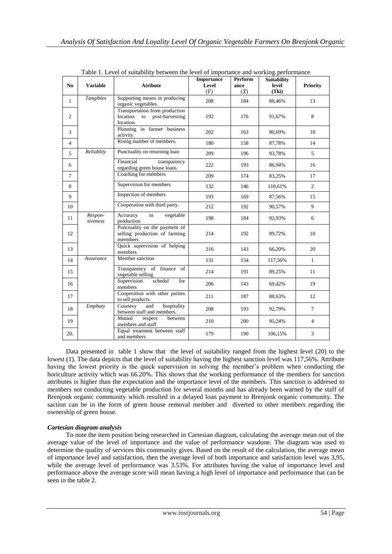|                |                     | rable r. Level of sunability between the level of importance and working performance | <b>Importance</b> | Perform     | <b>Suitability</b> |                 |
|----------------|---------------------|--------------------------------------------------------------------------------------|-------------------|-------------|--------------------|-----------------|
| N <sub>0</sub> | <b>Variable</b>     | <b>Atribute</b>                                                                      | Level             | ance        | level              | <b>Priority</b> |
|                |                     |                                                                                      | $(\bar{Y})$       | $(\bar{X})$ | (Tki)              |                 |
| $\mathbf{1}$   | Tangibles           | Supporting means in producing<br>organic vegetables.                                 | 208               | 184         | 88,46%             | 13              |
| $\mathfrak{2}$ |                     | Transportation from production<br>location<br>to post-harvesting<br>location.        | 192               | 176         | 91,67%             | 8               |
| 3              |                     | Planning in farmer business<br>activity.                                             | 202               | 163         | 80,69%             | 18              |
| $\overline{4}$ |                     | Rising number of members.                                                            | 180               | 158         | 87,78%             | 14              |
| 5              | Reliablity          | Punctuality on returning loan                                                        | 209               | 196         | 93,78%             | 5               |
| 6              |                     | Financial<br>transparency<br>regarding green house loans                             | 222               | 193         | 86,94%             | 16              |
| $\tau$         |                     | Coaching for members                                                                 | 209               | 174         | 83,25%             | 17              |
| 8              |                     | Supervision for members                                                              | 132               | 146         | 110,61%            | 2               |
| 9              |                     | Inspection of members                                                                | 193               | 169         | 87,56%             | 15              |
| 10             |                     | Cooperation with third party.                                                        | 212               | 192         | 90,57%             | 9               |
| 11             | Respon-<br>siveness | in<br>vegetable<br>Accuracy<br>production                                            | 198               | 184         | 92,93%             | 6               |
| 12             |                     | Punctuality on the payment of<br>selling production of farming<br>mermbers           | 214               | 192         | 89,72%             | 10              |
| 13             |                     | Quick supervision of helping<br>members                                              | 216               | 143         | 66,20%             | 20              |
| 14             | Assurance           | Member sanction                                                                      | 131               | 154         | 117,56%            | $\mathbf{1}$    |
| 15             |                     | Transparency of finance of<br>vegetable selling                                      | 214               | 191         | 89,25%             | 11              |
| 16             |                     | Supervision<br>schedul<br>for<br>members                                             | 206               | 143         | 69,42%             | 19              |
| 17             |                     | Cooperation with other parties<br>to sell products                                   | 211               | 187         | 88,63%             | 12              |
| 18             | Emphaty             | Courtesy<br>hospitality<br>and<br>between staff and members.                         | 208               | 193         | 92,79%             | $\tau$          |
| 19             |                     | Mutual<br>respect<br>between<br>members and staff                                    | 210               | 200         | 95,24%             | $\overline{4}$  |
| 20.            |                     | Equal treatment between staff<br>and members                                         | 179               | 190         | 106,15%            | 3               |

Table 1. Level of suitability between the level of importance and working performance

Data presented in table 1 show that the level of suitability ranged from the highest level (20) to the lowest (1). The data depicts that the level of suitability having the highest sanction level was 117,56%. Attribute having the lowest priority is the quick supervision in solving the member's problem when conducting the horiculture activity which was 66.20%. This shows that the working performance of the members for sanction attributes is higher than the expectation and the importance level of the members. This sanction is addresed to members not conducting vegetable production for several months and has already been warned by the staff of Brenjonk organic community which resulted in a delayed loan payment to Brenjonk organic community. The saction can be in the form of green house removal member and diverted to other members regarding the ownership of green house.

## *Cartesian diagram analysis*

To note the item position being researched in Cartesian diagram, calculating the average mean out of the average value of the level of importance and the value of performance wasdone. The diagram was used to determine the quality of services this community gives. Based on the result of the calculation, the average mean of importance level and satisfaction, then the average level of both importance and satisfaction level was 3,95, while the average level of performance was  $3.53\%$ . For attributes having the value of importance level and performance above the average score will mean having a high level of importance and performance that can be seen in the table 2.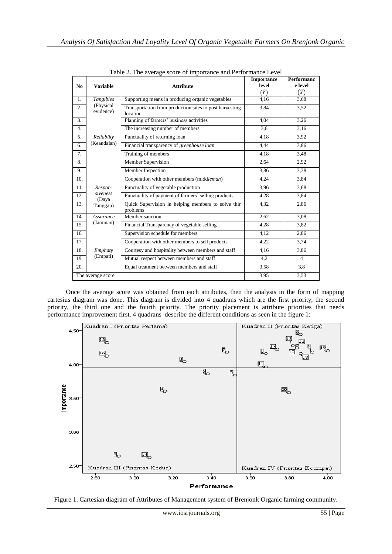|                  |                        | $1$ able $2$ . The average score of importance and Ferrormance Lever | <b>Importance</b> | <b>Performanc</b> |
|------------------|------------------------|----------------------------------------------------------------------|-------------------|-------------------|
| N <sub>0</sub>   | <b>Variable</b>        | <b>Attribute</b>                                                     | level             | e level           |
|                  |                        |                                                                      | $(\bar{\bar{Y}})$ | $(\bar{\bar{X}})$ |
| 1.               | Tangibles              | Supporting means in producing organic vegetables                     | 4,16              | 3,68              |
| $\overline{2}$ . | (Physical<br>evidence) | Transportation from production sites to post harvesting<br>location  | 3.84              | 3,52              |
| 3.               |                        | Planning of farmers' business activities                             | 4,04              | 3,26              |
| 4.               |                        | The increasing number of members                                     | 3,6               | 3,16              |
| 5.               | Reliablity             | Punctuality of returning loan                                        | 4,18              | 3,92              |
| 6.               | (Keandalan)            | Financial transparency of greenhouse loan                            |                   | 3,86              |
| 7.               |                        | Training of members                                                  | 4,18              | 3,48              |
| 8.               |                        | <b>Member Supervision</b>                                            | 2,64              | 2,92              |
| 9.               |                        | Member Inspection                                                    | 3,86              | 3.38              |
| 10.              |                        | Cooperation with other members (middleman)                           | 4,24              | 3,84              |
| 11.              | Respon-                | Punctuality of vegetable production                                  | 3.96              | 3,68              |
| 12.              | siveness<br>(Daya      | Punctuality of payment of farmers' selling products                  | 4,28              | 3,84              |
| 13.              | Tanggap)               | Quick Supervision in helping members to solve thir<br>problems       | 4,32              | 2,86              |
| 14.              | Assurance              | Member sanction                                                      | 2,62              | 3,08              |
| 15.              | (Jaminan)              | Financial Transparency of vegetable selling                          | 4,28              | 3,82              |
| 16.              |                        | Supervision schedule for members                                     | 4,12              | 2,86              |
| 17.              |                        | Cooperation with other members to sell products                      | 4,22              | 3,74              |
| 18.              | Emphaty                | Courtesy and hospitality between members and staff                   | 4,16              | 3,86              |
| 19.              | (Empati)               | Mutual respect between members and staff                             |                   | $\overline{4}$    |
| 20.              |                        | Equal treatment between members and staff                            | 3,58              | 3,8               |
|                  | The average score      |                                                                      | 3.95              | 3.53              |

Table 2. The average score of importance and Performance Level

Once the average score was obtained from each attributes, then the analysis in the form of mapping cartesius diagram was done. This diagram is divided into 4 quadrans which are the first priority, the second priority, the third one and the fourth priority. The priority placement is attribute priorities that needs performance improvement first. 4 quadrans describe the different conditions as seen in the figure 1:



Figure 1. Cartesian diagram of Attributes of Management system of Brenjonk Organic farming community.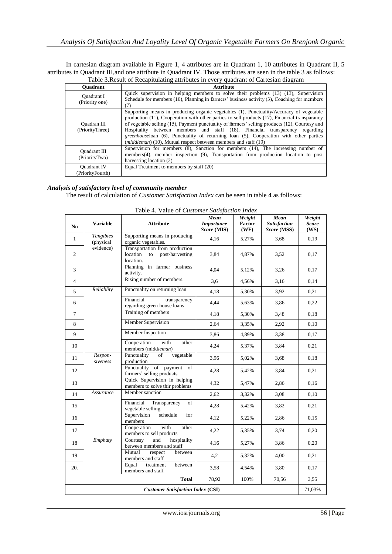In cartesian diagram available in Figure 1, 4 attributes are in Quadrant 1, 10 attributes in Quadrant II, 5 attributes in Quadrant III,and one attribute in Quadrant IV. Those attributes are seen in the table 3 as follows:

| Table 3. Result of Recapitulating attributes in every quadrant of Cartesian diagram                                                                                                                                              |                                                                                                                                                                                                                                                                                                                                                                                                                                                                                                                                                        |  |  |  |
|----------------------------------------------------------------------------------------------------------------------------------------------------------------------------------------------------------------------------------|--------------------------------------------------------------------------------------------------------------------------------------------------------------------------------------------------------------------------------------------------------------------------------------------------------------------------------------------------------------------------------------------------------------------------------------------------------------------------------------------------------------------------------------------------------|--|--|--|
| <b>Ouadrant</b>                                                                                                                                                                                                                  | <b>Attribute</b>                                                                                                                                                                                                                                                                                                                                                                                                                                                                                                                                       |  |  |  |
| Quick supervision in helping members to solve their problems (13) (13), Supervision<br><b>Ouadrant I</b><br>Schedule for members (16), Planning in farmers' business activity (3), Coaching for members<br>(Priority one)<br>(7) |                                                                                                                                                                                                                                                                                                                                                                                                                                                                                                                                                        |  |  |  |
| Quadran III<br>(PriorityThree)                                                                                                                                                                                                   | Supporting means in producing organic vegetables (1), Punctuality/Accuracy of vegetable<br>production (11), Cooperation with other parties to sell products (17), Financial transparancy<br>of vegetable selling (15), Payment punctuality of farmers' selling products (12), Courtesy and<br>Hospitality between members and staff (18), Financial transparency regarding<br><i>greenhouseloan</i> (6), Punctuality of returning loan (5), Cooperation with other parties<br>( <i>middleman</i> ) (10), Mutual respect between members and staff (19) |  |  |  |
| Quadrant III<br>(PriorityTwo)                                                                                                                                                                                                    | Supervision for members $(8)$ , Sanction for members $(14)$ , The increasing number of<br>members(4), member inspection (9), Transportation from production location to post<br>harvesting location (2)                                                                                                                                                                                                                                                                                                                                                |  |  |  |
| <b>Ouadrant IV</b><br>(PriorityFourth)                                                                                                                                                                                           | Equal Treatment to members by staff (20)                                                                                                                                                                                                                                                                                                                                                                                                                                                                                                               |  |  |  |

## *Analysis of satisfactory level of community member*

The result of calculation of *Customer Satisfaction Index* can be seen in table 4 as follows:

| N <sub>0</sub>                           | <b>Variable</b>        | raone i. Vande of Castonici Battsjachoù maex<br><b>Attribute</b>                 | Mean<br><b>Importance</b><br>Score (MIS) | Weight<br>Factor<br>(WF) | Mean<br><b>Satisfaction</b><br>Score (MSS) | Weight<br><b>Score</b><br>(WS) |
|------------------------------------------|------------------------|----------------------------------------------------------------------------------|------------------------------------------|--------------------------|--------------------------------------------|--------------------------------|
| $\mathbf{1}$                             | Tangibles<br>(physical | Supporting means in producing<br>organic vegetables.                             | 4,16                                     | 5,27%                    | 3,68                                       | 0,19                           |
| 2                                        | evidence)              | Transportation from production<br>location<br>post-harvesting<br>to<br>location. | 3,84                                     | 4,87%                    | 3,52                                       | 0,17                           |
| 3                                        |                        | Planning in farmer business<br>activity.                                         | 4,04                                     | 5,12%                    | 3,26                                       | 0,17                           |
| $\overline{4}$                           |                        | Rising number of members.                                                        | 3.6                                      | 4.56%                    | 3,16                                       | 0,14                           |
| 5                                        | Reliablity             | Punctuality on returning loan                                                    | 4,18                                     | 5,30%                    | 3,92                                       | 0,21                           |
| 6                                        |                        | Financial<br>transparency<br>regarding green house loans                         | 4.44                                     | 5,63%                    | 3,86                                       | 0,22                           |
| $\tau$                                   |                        | Training of members                                                              | 4,18                                     | 5,30%                    | 3,48                                       | 0,18                           |
| 8                                        |                        | Member Supervision                                                               | 2,64                                     | 3,35%                    | 2,92                                       | 0,10                           |
| 9                                        |                        | Member Inspection                                                                | 3,86                                     | 4,89%                    | 3,38                                       | 0,17                           |
| 10                                       |                        | Cooperation<br>with<br>other<br>members (middleman)                              | 4,24                                     | 5,37%                    | 3,84                                       | 0,21                           |
| 11                                       | Respon-<br>siveness    | Punctuality<br>of<br>vegetable<br>production                                     | 3,96                                     | 5,02%                    | 3,68                                       | 0,18                           |
| 12                                       |                        | Punctuality of payment of<br>farmers' selling products                           | 4,28                                     | 5,42%                    | 3,84                                       | 0,21                           |
| 13                                       |                        | Quick Supervision in helping<br>members to solve thir problems                   | 4,32                                     | 5,47%                    | 2,86                                       | 0,16                           |
| 14                                       | Assurance              | Member sanction                                                                  | 2,62                                     | 3,32%                    | 3,08                                       | 0,10                           |
| 15                                       |                        | Financial<br>Transparency<br>of<br>vegetable selling                             | 4,28                                     | 5,42%                    | 3,82                                       | 0,21                           |
| 16                                       |                        | Supervision<br>schedule<br>for<br>members                                        | 4,12                                     | 5,22%                    | 2,86                                       | 0,15                           |
| 17                                       |                        | Cooperation<br>with<br>other<br>members to sell products                         | 4,22                                     | 5,35%                    | 3,74                                       | 0,20                           |
| 18                                       | Emphaty                | Courtesy<br>and<br>hospitality<br>between members and staff                      | 4,16                                     | 5,27%                    | 3,86                                       | 0,20                           |
| 19                                       |                        | Mutual<br>respect<br>between<br>members and staff                                | 4,2                                      | 5,32%                    | 4.00                                       | 0,21                           |
| 20.                                      |                        | Equal<br>treatment<br>between<br>members and staff                               | 3,58                                     | 4,54%                    | 3,80                                       | 0,17                           |
| 100%<br>70,56<br><b>Total</b><br>78,92   |                        |                                                                                  |                                          |                          |                                            | 3,55                           |
| <b>Customer Satisfaction Index (CSI)</b> |                        |                                                                                  |                                          |                          |                                            | 71,03%                         |

Table 4. Value of *Customer Satisfaction Index*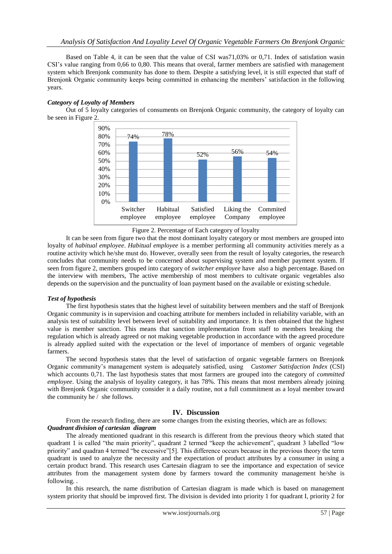Based on Table 4, it can be seen that the value of CSI was71,03% or 0,71. Index of satisfation wasin CSI's value ranging from 0,66 to 0,80. This means that overal, farmer members are satisfied with management system which Brenjonk community has done to them. Despite a satisfying level, it is still expected that staff of Brenjonk Organic community keeps being committed in enhancing the members' satisfaction in the following years.

#### *Category of Loyalty of Members*

Out of 5 loyalty categories of consuments on Brenjonk Organic community, the category of loyalty can be seen in Figure 2.



Figure 2. Percentage of Each category of loyalty

It can be seen from figure two that the most dominant loyalty category or most members are grouped into loyalty of *habitual employee*. *Habitual employee* is a member performing all community activities merely as a routine activity which he/she must do. However, overally seen from the result of loyalty categories, the research concludes that community needs to be concerned about supervising system and member payment system. If seen from figure 2, members grouped into category of *switcher employee* have also a high percentage. Based on the interview with members, The active membership of most members to cultivate organic vegetables also depends on the supervision and the punctuality of loan payment based on the available or existing schedule.

## *Test of hypothesis*

The first hypothesis states that the highest level of suitability between members and the staff of Brenjonk Organic community is in supervision and coaching attribute for members included in reliability variable, with an analysis test of suitability level between level of suitability and importance. It is then obtained that the highest value is member sanction. This means that sanction implementation from staff to members breaking the regulation which is already agreed or not making vegetable production in accordance with the agreed procedure is already applied suited with the expectation or the level of importance of members of organic vegetable farmers.

The second hypothesis states that the level of satisfaction of organic vegetable farmers on Brenjonk Organic community's management system is adequately satisfied, using *Customer Satisfaction Index* (CSI) which accounts 0,71. The last hypothesis states that most farmers are grouped into the category of *committed employee*. Using the analysis of loyality category, it has 78%. This means that most members already joining with Brenjonk Organic community consider it a daily routine, not a full commitment as a loyal member toward the community he / she follows.

## **IV. Discussion**

From the research finding, there are some changes from the existing theories, which are as follows: *Quadrant division of cartesian diagram*

The already mentioned quadrant in this research is different from the previous theory which stated that quadrant 1 is called "the main priority", quadrant 2 termed "keep the achievement", quadrant 3 labelled "low priority" and quadran 4 termed "be excessive"[5]. This difference occurs because in the previous theory the term quadrant is used to analyze the necessity and the expectation of product attributes by a consumer in using a certain product brand. This research uses Cartesain diagram to see the importance and expectation of sevice attributes from the management system done by farmers toward the community management he/she is following. .

In this research, the name distribution of Cartesian diagram is made which is based on management system priority that should be improved first. The division is devided into priority 1 for quadrant I, priority 2 for